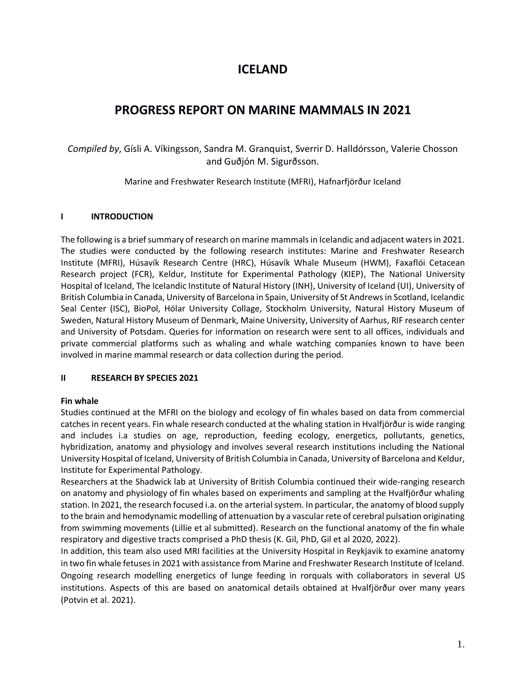# **ICELAND**

# **PROGRESS REPORT ON MARINE MAMMALS IN 2021**

*Compiled by*, Gísli A. Víkingsson, Sandra M. Granquist, Sverrir D. Halldórsson, Valerie Chosson and Guðjón M. Sigurðsson.

Marine and Freshwater Research Institute (MFRI), Hafnarfjörður Iceland

## **I INTRODUCTION**

The following is a brief summary of research on marine mammals in Icelandic and adjacent waters in 2021. The studies were conducted by the following research institutes: Marine and Freshwater Research Institute (MFRI), Húsavík Research Centre (HRC), Húsavík Whale Museum (HWM), Faxaflói Cetacean Research project (FCR), Keldur, Institute for Experimental Pathology (KIEP), The National University Hospital of Iceland, The Icelandic Institute of Natural History (INH), University of Iceland (UI), University of British Columbia in Canada, University of Barcelona in Spain, University of St Andrews in Scotland, Icelandic Seal Center (ISC), BioPol, Hólar University Collage, Stockholm University, Natural History Museum of Sweden, Natural History Museum of Denmark, Maine University, University of Aarhus, RIF research center and University of Potsdam. Queries for information on research were sent to all offices, individuals and private commercial platforms such as whaling and whale watching companies known to have been involved in marine mammal research or data collection during the period.

## **II RESEARCH BY SPECIES 2021**

## **Fin whale**

Studies continued at the MFRI on the biology and ecology of fin whales based on data from commercial catches in recent years. Fin whale research conducted at the whaling station in Hvalfjörður is wide ranging and includes i.a studies on age, reproduction, feeding ecology, energetics, pollutants, genetics, hybridization, anatomy and physiology and involves several research institutions including the National University Hospital of Iceland, University of British Columbia in Canada, University of Barcelona and Keldur, Institute for Experimental Pathology.

Researchers at the Shadwick lab at University of British Columbia continued their wide-ranging research on anatomy and physiology of fin whales based on experiments and sampling at the Hvalfjörður whaling station. In 2021, the research focused i.a. on the arterial system. In particular, the anatomy of blood supply to the brain and hemodynamic modelling of attenuation by a vascular rete of cerebral pulsation originating from swimming movements (Lillie et al submitted). Research on the functional anatomy of the fin whale respiratory and digestive tracts comprised a PhD thesis (K. Gil, PhD, Gil et al 2020, 2022).

In addition, this team also used MRI facilities at the University Hospital in Reykjavik to examine anatomy in two fin whale fetuses in 2021 with assistance from Marine and Freshwater Research Institute of Iceland. Ongoing research modelling energetics of lunge feeding in rorquals with collaborators in several US institutions. Aspects of this are based on anatomical details obtained at Hvalfjörður over many years (Potvin et al. 2021).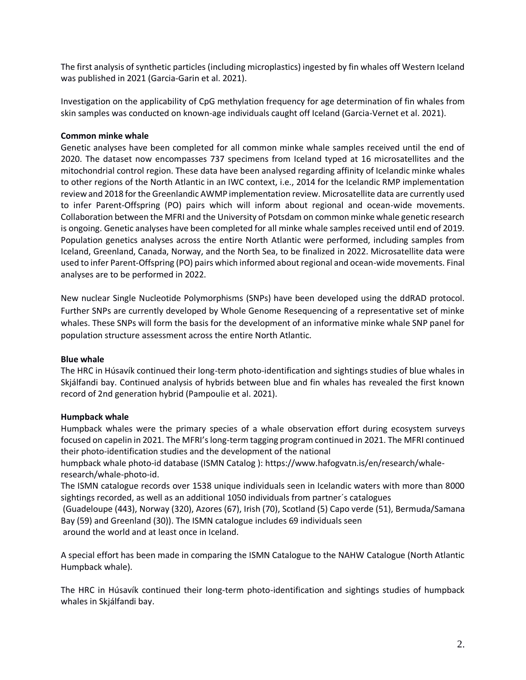The first analysis of synthetic particles (including microplastics) ingested by fin whales off Western Iceland was published in 2021 (Garcia-Garin et al. 2021).

Investigation on the applicability of CpG methylation frequency for age determination of fin whales from skin samples was conducted on known-age individuals caught off Iceland (Garcia-Vernet et al. 2021).

## **Common minke whale**

Genetic analyses have been completed for all common minke whale samples received until the end of 2020. The dataset now encompasses 737 specimens from Iceland typed at 16 microsatellites and the mitochondrial control region. These data have been analysed regarding affinity of Icelandic minke whales to other regions of the North Atlantic in an IWC context, i.e., 2014 for the Icelandic RMP implementation review and 2018 for the Greenlandic AWMP implementation review. Microsatellite data are currently used to infer Parent-Offspring (PO) pairs which will inform about regional and ocean-wide movements. Collaboration between the MFRI and the University of Potsdam on common minke whale genetic research is ongoing. Genetic analyses have been completed for all minke whale samples received until end of 2019. Population genetics analyses across the entire North Atlantic were performed, including samples from Iceland, Greenland, Canada, Norway, and the North Sea, to be finalized in 2022. Microsatellite data were used to infer Parent-Offspring (PO) pairs which informed about regional and ocean-wide movements. Final analyses are to be performed in 2022.

New nuclear Single Nucleotide Polymorphisms (SNPs) have been developed using the ddRAD protocol. Further SNPs are currently developed by Whole Genome Resequencing of a representative set of minke whales. These SNPs will form the basis for the development of an informative minke whale SNP panel for population structure assessment across the entire North Atlantic.

## **Blue whale**

The HRC in Húsavík continued their long-term photo-identification and sightings studies of blue whales in Skjálfandi bay. Continued analysis of hybrids between blue and fin whales has revealed the first known record of 2nd generation hybrid (Pampoulie et al. 2021).

## **Humpback whale**

Humpback whales were the primary species of a whale observation effort during ecosystem surveys focused on capelin in 2021. The MFRI's long-term tagging program continued in 2021. The MFRI continued their photo-identification studies and the development of the national

humpback whale photo-id database (ISMN Catalog ): [https://www.hafogvatn.is/en/research/whale](https://www.hafogvatn.is/en/research/whale-research/whale-photo-id)[research/whale-photo-id.](https://www.hafogvatn.is/en/research/whale-research/whale-photo-id)

The ISMN catalogue records over 1538 unique individuals seen in Icelandic waters with more than 8000 sightings recorded, as well as an additional 1050 individuals from partner´s catalogues

(Guadeloupe (443), Norway (320), Azores (67), Irish (70), Scotland (5) Capo verde (51), Bermuda/Samana Bay (59) and Greenland (30)). The ISMN catalogue includes 69 individuals seen

around the world and at least once in Iceland.

A special effort has been made in comparing the ISMN Catalogue to the NAHW Catalogue (North Atlantic Humpback whale).

The HRC in Húsavík continued their long-term photo-identification and sightings studies of humpback whales in Skjálfandi bay.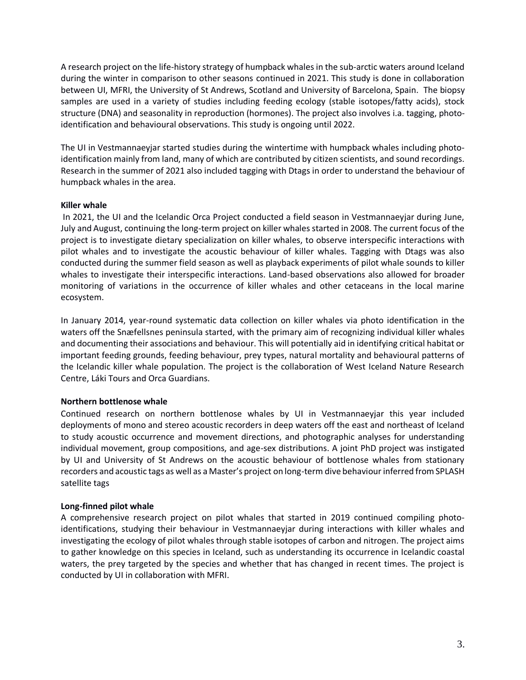A research project on the life-history strategy of humpback whales in the sub-arctic waters around Iceland during the winter in comparison to other seasons continued in 2021. This study is done in collaboration between UI, MFRI, the University of St Andrews, Scotland and University of Barcelona, Spain. The biopsy samples are used in a variety of studies including feeding ecology (stable isotopes/fatty acids), stock structure (DNA) and seasonality in reproduction (hormones). The project also involves i.a. tagging, photoidentification and behavioural observations. This study is ongoing until 2022.

The UI in Vestmannaeyjar started studies during the wintertime with humpback whales including photoidentification mainly from land, many of which are contributed by citizen scientists, and sound recordings. Research in the summer of 2021 also included tagging with Dtags in order to understand the behaviour of humpback whales in the area.

## **Killer whale**

In 2021, the UI and the Icelandic Orca Project conducted a field season in Vestmannaeyjar during June, July and August, continuing the long-term project on killer whales started in 2008. The current focus of the project is to investigate dietary specialization on killer whales, to observe interspecific interactions with pilot whales and to investigate the acoustic behaviour of killer whales. Tagging with Dtags was also conducted during the summer field season as well as playback experiments of pilot whale sounds to killer whales to investigate their interspecific interactions. Land-based observations also allowed for broader monitoring of variations in the occurrence of killer whales and other cetaceans in the local marine ecosystem.

In January 2014, year-round systematic data collection on killer whales via photo identification in the waters off the Snæfellsnes peninsula started, with the primary aim of recognizing individual killer whales and documenting their associations and behaviour. This will potentially aid in identifying critical habitat or important feeding grounds, feeding behaviour, prey types, natural mortality and behavioural patterns of the Icelandic killer whale population. The project is the collaboration of West Iceland Nature Research Centre, Láki Tours and Orca Guardians.

# **Northern bottlenose whale**

Continued research on northern bottlenose whales by UI in Vestmannaeyjar this year included deployments of mono and stereo acoustic recorders in deep waters off the east and northeast of Iceland to study acoustic occurrence and movement directions, and photographic analyses for understanding individual movement, group compositions, and age-sex distributions. A joint PhD project was instigated by UI and University of St Andrews on the acoustic behaviour of bottlenose whales from stationary recorders and acoustic tags as well as a Master's project on long-term dive behaviour inferred from SPLASH satellite tags

# **Long-finned pilot whale**

A comprehensive research project on pilot whales that started in 2019 continued compiling photoidentifications, studying their behaviour in Vestmannaeyjar during interactions with killer whales and investigating the ecology of pilot whales through stable isotopes of carbon and nitrogen. The project aims to gather knowledge on this species in Iceland, such as understanding its occurrence in Icelandic coastal waters, the prey targeted by the species and whether that has changed in recent times. The project is conducted by UI in collaboration with MFRI.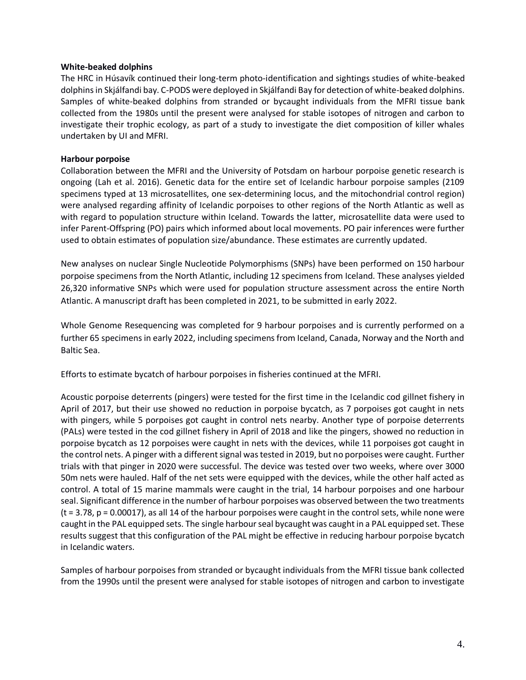#### **White-beaked dolphins**

The HRC in Húsavík continued their long-term photo-identification and sightings studies of white-beaked dolphins in Skjálfandi bay. C-PODS were deployed in Skjálfandi Bay for detection of white-beaked dolphins. Samples of white-beaked dolphins from stranded or bycaught individuals from the MFRI tissue bank collected from the 1980s until the present were analysed for stable isotopes of nitrogen and carbon to investigate their trophic ecology, as part of a study to investigate the diet composition of killer whales undertaken by UI and MFRI.

#### **Harbour porpoise**

Collaboration between the MFRI and the University of Potsdam on harbour porpoise genetic research is ongoing (Lah et al. 2016). Genetic data for the entire set of Icelandic harbour porpoise samples (2109 specimens typed at 13 microsatellites, one sex-determining locus, and the mitochondrial control region) were analysed regarding affinity of Icelandic porpoises to other regions of the North Atlantic as well as with regard to population structure within Iceland. Towards the latter, microsatellite data were used to infer Parent-Offspring (PO) pairs which informed about local movements. PO pair inferences were further used to obtain estimates of population size/abundance. These estimates are currently updated.

New analyses on nuclear Single Nucleotide Polymorphisms (SNPs) have been performed on 150 harbour porpoise specimens from the North Atlantic, including 12 specimens from Iceland. These analyses yielded 26,320 informative SNPs which were used for population structure assessment across the entire North Atlantic. A manuscript draft has been completed in 2021, to be submitted in early 2022.

Whole Genome Resequencing was completed for 9 harbour porpoises and is currently performed on a further 65 specimens in early 2022, including specimens from Iceland, Canada, Norway and the North and Baltic Sea.

Efforts to estimate bycatch of harbour porpoises in fisheries continued at the MFRI.

Acoustic porpoise deterrents (pingers) were tested for the first time in the Icelandic cod gillnet fishery in April of 2017, but their use showed no reduction in porpoise bycatch, as 7 porpoises got caught in nets with pingers, while 5 porpoises got caught in control nets nearby. Another type of porpoise deterrents (PALs) were tested in the cod gillnet fishery in April of 2018 and like the pingers, showed no reduction in porpoise bycatch as 12 porpoises were caught in nets with the devices, while 11 porpoises got caught in the control nets. A pinger with a different signal was tested in 2019, but no porpoises were caught. Further trials with that pinger in 2020 were successful. The device was tested over two weeks, where over 3000 50m nets were hauled. Half of the net sets were equipped with the devices, while the other half acted as control. A total of 15 marine mammals were caught in the trial, 14 harbour porpoises and one harbour seal. Significant difference in the number of harbour porpoises was observed between the two treatments  $(t = 3.78, p = 0.00017)$ , as all 14 of the harbour porpoises were caught in the control sets, while none were caught in the PAL equipped sets. The single harbour seal bycaught was caught in a PAL equipped set. These results suggest that this configuration of the PAL might be effective in reducing harbour porpoise bycatch in Icelandic waters.

Samples of harbour porpoises from stranded or bycaught individuals from the MFRI tissue bank collected from the 1990s until the present were analysed for stable isotopes of nitrogen and carbon to investigate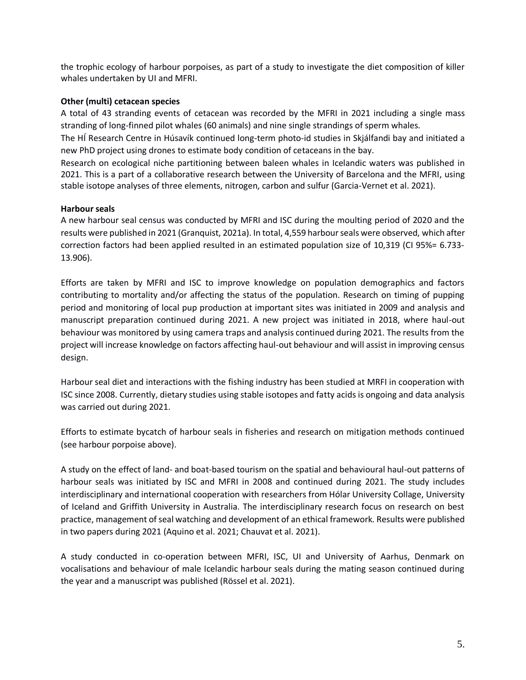the trophic ecology of harbour porpoises, as part of a study to investigate the diet composition of killer whales undertaken by UI and MFRI.

## **Other (multi) cetacean species**

A total of 43 stranding events of cetacean was recorded by the MFRI in 2021 including a single mass stranding of long-finned pilot whales (60 animals) and nine single strandings of sperm whales.

The HÍ Research Centre in Húsavík continued long-term photo-id studies in Skjálfandi bay and initiated a new PhD project using drones to estimate body condition of cetaceans in the bay.

Research on ecological niche partitioning between baleen whales in Icelandic waters was published in 2021. This is a part of a collaborative research between the University of Barcelona and the MFRI, using stable isotope analyses of three elements, nitrogen, carbon and sulfur (Garcia-Vernet et al. 2021).

## **Harbour seals**

A new harbour seal census was conducted by MFRI and ISC during the moulting period of 2020 and the results were published in 2021 (Granquist, 2021a). In total, 4,559 harbour seals were observed, which after correction factors had been applied resulted in an estimated population size of 10,319 (CI 95%= 6.733‐ 13.906).

Efforts are taken by MFRI and ISC to improve knowledge on population demographics and factors contributing to mortality and/or affecting the status of the population. Research on timing of pupping period and monitoring of local pup production at important sites was initiated in 2009 and analysis and manuscript preparation continued during 2021. A new project was initiated in 2018, where haul-out behaviour was monitored by using camera traps and analysis continued during 2021. The results from the project will increase knowledge on factors affecting haul-out behaviour and will assist in improving census design.

Harbour seal diet and interactions with the fishing industry has been studied at MRFI in cooperation with ISC since 2008. Currently, dietary studies using stable isotopes and fatty acids is ongoing and data analysis was carried out during 2021.

Efforts to estimate bycatch of harbour seals in fisheries and research on mitigation methods continued (see harbour porpoise above).

A study on the effect of land- and boat-based tourism on the spatial and behavioural haul-out patterns of harbour seals was initiated by ISC and MFRI in 2008 and continued during 2021. The study includes interdisciplinary and international cooperation with researchers from Hólar University Collage, University of Iceland and Griffith University in Australia. The interdisciplinary research focus on research on best practice, management of seal watching and development of an ethical framework. Results were published in two papers during 2021 (Aquino et al. 2021; Chauvat et al. 2021).

A study conducted in co-operation between MFRI, ISC, UI and University of Aarhus, Denmark on vocalisations and behaviour of male Icelandic harbour seals during the mating season continued during the year and a manuscript was published (Rössel et al. 2021).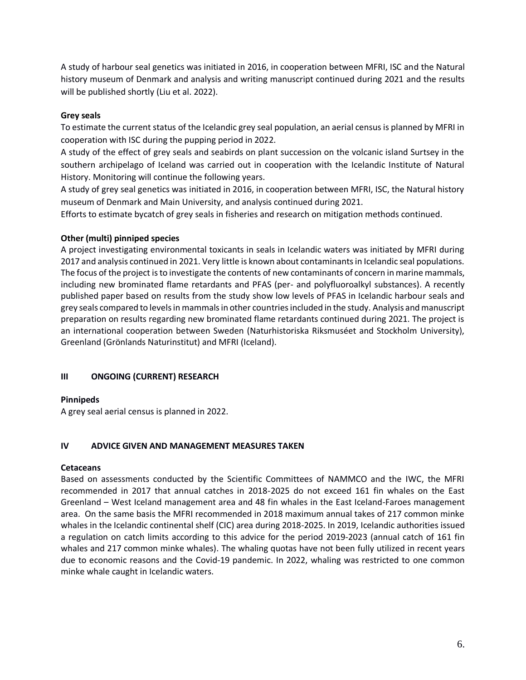A study of harbour seal genetics was initiated in 2016, in cooperation between MFRI, ISC and the Natural history museum of Denmark and analysis and writing manuscript continued during 2021 and the results will be published shortly (Liu et al. 2022).

## **Grey seals**

To estimate the current status of the Icelandic grey seal population, an aerial census is planned by MFRI in cooperation with ISC during the pupping period in 2022.

A study of the effect of grey seals and seabirds on plant succession on the volcanic island Surtsey in the southern archipelago of Iceland was carried out in cooperation with the Icelandic Institute of Natural History. Monitoring will continue the following years.

A study of grey seal genetics was initiated in 2016, in cooperation between MFRI, ISC, the Natural history museum of Denmark and Main University, and analysis continued during 2021.

Efforts to estimate bycatch of grey seals in fisheries and research on mitigation methods continued.

## **Other (multi) pinniped species**

A project investigating environmental toxicants in seals in Icelandic waters was initiated by MFRI during 2017 and analysis continued in 2021. Very little is known about contaminants in Icelandic seal populations. The focus of the project is to investigate the contents of new contaminants of concern in marine mammals, including new brominated flame retardants and PFAS (per- and polyfluoroalkyl substances). A recently published paper based on results from the study show low levels of PFAS in Icelandic harbour seals and grey seals compared to levels in mammals in other countries included in the study. Analysis and manuscript preparation on results regarding new brominated flame retardants continued during 2021. The project is an international cooperation between Sweden (Naturhistoriska Riksmuséet and Stockholm University), Greenland (Grönlands Naturinstitut) and MFRI (Iceland).

## **III ONGOING (CURRENT) RESEARCH**

## **Pinnipeds**

A grey seal aerial census is planned in 2022.

## **IV ADVICE GIVEN AND MANAGEMENT MEASURES TAKEN**

## **Cetaceans**

Based on assessments conducted by the Scientific Committees of NAMMCO and the IWC, the MFRI recommended in 2017 that annual catches in 2018-2025 do not exceed 161 fin whales on the East Greenland – West Iceland management area and 48 fin whales in the East Iceland-Faroes management area. On the same basis the MFRI recommended in 2018 maximum annual takes of 217 common minke whales in the Icelandic continental shelf (CIC) area during 2018-2025. In 2019, Icelandic authorities issued a regulation on catch limits according to this advice for the period 2019-2023 (annual catch of 161 fin whales and 217 common minke whales). The whaling quotas have not been fully utilized in recent years due to economic reasons and the Covid-19 pandemic. In 2022, whaling was restricted to one common minke whale caught in Icelandic waters.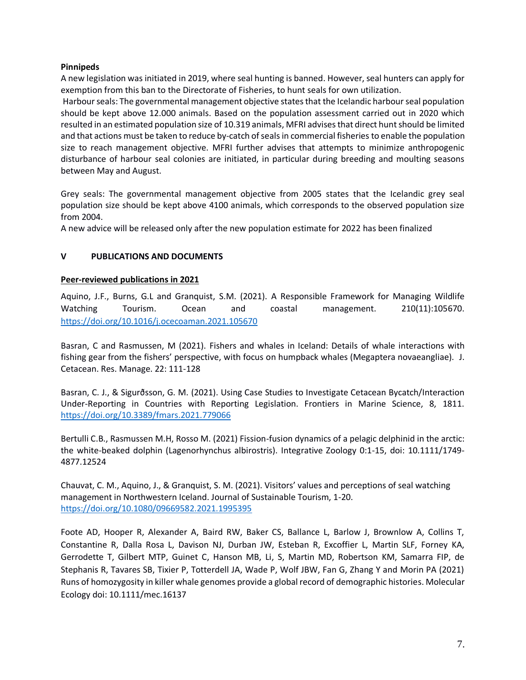## **Pinnipeds**

A new legislation was initiated in 2019, where seal hunting is banned. However, seal hunters can apply for exemption from this ban to the Directorate of Fisheries, to hunt seals for own utilization.

Harbour seals: The governmental management objective states that the Icelandic harbour seal population should be kept above 12.000 animals. Based on the population assessment carried out in 2020 which resulted in an estimated population size of 10.319 animals, MFRI advises that direct hunt should be limited and that actions must be taken to reduce by-catch of seals in commercial fisheries to enable the population size to reach management objective. MFRI further advises that attempts to minimize anthropogenic disturbance of harbour seal colonies are initiated, in particular during breeding and moulting seasons between May and August.

Grey seals: The governmental management objective from 2005 states that the Icelandic grey seal population size should be kept above 4100 animals, which corresponds to the observed population size from 2004.

A new advice will be released only after the new population estimate for 2022 has been finalized

# **V PUBLICATIONS AND DOCUMENTS**

## **Peer-reviewed publications in 2021**

Aquino, J.F., Burns, G.L and Granquist, S.M. (2021). A Responsible Framework for Managing Wildlife Watching Tourism. Ocean and coastal management. 210(11):105670. <https://doi.org/10.1016/j.ocecoaman.2021.105670>

Basran, C and Rasmussen, M (2021). Fishers and whales in Iceland: Details of whale interactions with fishing gear from the fishers' perspective, with focus on humpback whales (Megaptera novaeangliae). J. Cetacean. Res. Manage. 22: 111-128

Basran, C. J., & Sigurðsson, G. M. (2021). Using Case Studies to Investigate Cetacean Bycatch/Interaction Under-Reporting in Countries with Reporting Legislation. Frontiers in Marine Science, 8, 1811. <https://doi.org/10.3389/fmars.2021.779066>

Bertulli C.B., Rasmussen M.H, Rosso M. (2021) Fission-fusion dynamics of a pelagic delphinid in the arctic: the white-beaked dolphin (Lagenorhynchus albirostris). Integrative Zoology 0:1-15, doi: 10.1111/1749- 4877.12524

Chauvat, C. M., Aquino, J., & Granquist, S. M. (2021). Visitors' values and perceptions of seal watching management in Northwestern Iceland. Journal of Sustainable Tourism, 1-20. <https://doi.org/10.1080/09669582.2021.1995395>

Foote AD, Hooper R, Alexander A, Baird RW, Baker CS, Ballance L, Barlow J, Brownlow A, Collins T, Constantine R, Dalla Rosa L, Davison NJ, Durban JW, Esteban R, Excoffier L, Martin SLF, Forney KA, Gerrodette T, Gilbert MTP, Guinet C, Hanson MB, Li, S, Martin MD, Robertson KM, Samarra FIP, de Stephanis R, Tavares SB, Tixier P, Totterdell JA, Wade P, Wolf JBW, Fan G, Zhang Y and Morin PA (2021) Runs of homozygosity in killer whale genomes provide a global record of demographic histories. Molecular Ecology doi: 10.1111/mec.16137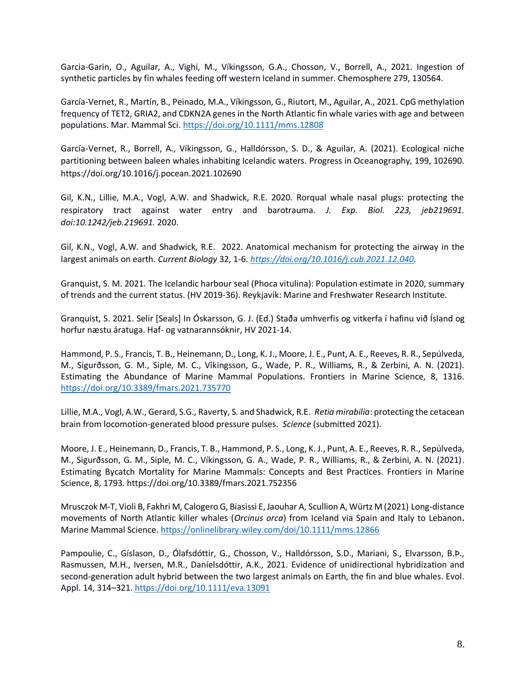Garcia-Garin, O., Aguilar, A., Vighi, M., Víkingsson, G.A., Chosson, V., Borrell, A., 2021. Ingestion of synthetic particles by fin whales feeding off western Iceland in summer. Chemosphere 279, 130564.

García‐Vernet, R., Martín, B., Peinado, M.A., Víkingsson, G., Riutort, M., Aguilar, A., 2021. CpG methylation frequency of TET2, GRIA2, and CDKN2A genes in the North Atlantic fin whale varies with age and between populations. Mar. Mammal Sci.<https://doi.org/10.1111/mms.12808>

García-Vernet, R., Borrell, A., Víkingsson, G., Halldórsson, S. D., & Aguilar, A. (2021). Ecological niche partitioning between baleen whales inhabiting Icelandic waters. Progress in Oceanography, 199, 102690. <https://doi.org/10.1016/j.pocean.2021.102690>

Gil, K.N., Lillie, M.A., Vogl, A.W. and Shadwick, R.E. 2020. Rorqual whale nasal plugs: protecting the respiratory tract against water entry and barotrauma. *J. Exp. Biol. 223, jeb219691. doi:10.1242/jeb.219691.* 2020.

Gil, K.N., Vogl, A.W. and Shadwick, R.E. 2022. Anatomical mechanism for protecting the airway in the largest animals on earth. *Current Biology* 32, 1-6. *[https://doi.org/10.1016/j.cub.2021.12.040.](https://doi.org/10.1016/j.cub.2021.12.040)*

Granquist, S. M. 2021. The Icelandic harbour seal (Phoca vitulina): Population estimate in 2020, summary of trends and the current status. (HV 2019-36). Reykjavík: Marine and Freshwater Research Institute.

Granquist, S. 2021. Selir [Seals] In Óskarsson, G. J. (Ed.) Staða umhverfis og vitkerfa í hafinu við Ísland og horfur næstu áratuga. Haf- og vatnarannsóknir, HV 2021-14.

Hammond, P. S., Francis, T. B., Heinemann, D., Long, K. J., Moore, J. E., Punt, A. E., Reeves, R. R., Sepúlveda, M., Sigurðsson, G. M., Siple, M. C., Víkingsson, G., Wade, P. R., Williams, R., & Zerbini, A. N. (2021). Estimating the Abundance of Marine Mammal Populations. Frontiers in Marine Science, 8, 1316. <https://doi.org/10.3389/fmars.2021.735770>

Lillie, M.A., Vogl, A.W., Gerard, S.G., Raverty, S. and Shadwick, R.E. *Retia mirabilia*: protecting the cetacean brain from locomotion-generated blood pressure pulses. *Science* (submitted 2021).

Moore, J. E., Heinemann, D., Francis, T. B., Hammond, P. S., Long, K. J., Punt, A. E., Reeves, R. R., Sepúlveda, M., Sigurðsson, G. M., Siple, M. C., Víkingsson, G. A., Wade, P. R., Williams, R., & Zerbini, A. N. (2021). Estimating Bycatch Mortality for Marine Mammals: Concepts and Best Practices. Frontiers in Marine Science, 8, 1793. https://doi.org/10.3389/fmars.2021.752356

Mrusczok M-T, Violi B, Fakhri M, Calogero G, Biasissi E, Jaouhar A, Scullion A, Würtz M (2021) Long-distance movements of North Atlantic killer whales (*Orcinus orca*) from Iceland via Spain and Italy to Lebanon**.** Marine Mammal Science.<https://onlinelibrary.wiley.com/doi/10.1111/mms.12866>

Pampoulie, C., Gíslason, D., Ólafsdóttir, G., Chosson, V., Halldórsson, S.D., Mariani, S., Elvarsson, B.Þ., Rasmussen, M.H., Iversen, M.R., Daníelsdóttir, A.K., 2021. Evidence of unidirectional hybridization and second-generation adult hybrid between the two largest animals on Earth, the fin and blue whales. Evol. Appl. 14, 314–321.<https://doi.org/10.1111/eva.13091>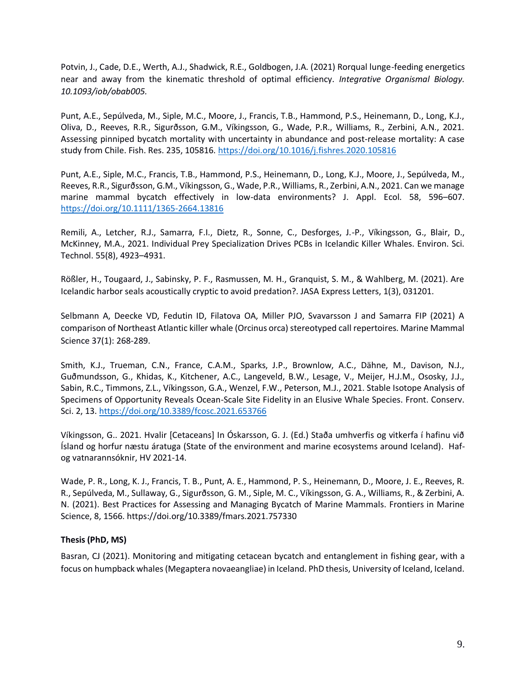Potvin, J., Cade, D.E., Werth, A.J., Shadwick, R.E., Goldbogen, J.A. (2021) Rorqual lunge-feeding energetics near and away from the kinematic threshold of optimal efficiency. *Integrative Organismal Biology. 10.1093/iob/obab005.*

Punt, A.E., Sepúlveda, M., Siple, M.C., Moore, J., Francis, T.B., Hammond, P.S., Heinemann, D., Long, K.J., Oliva, D., Reeves, R.R., Sigurðsson, G.M., Víkingsson, G., Wade, P.R., Williams, R., Zerbini, A.N., 2021. Assessing pinniped bycatch mortality with uncertainty in abundance and post-release mortality: A case study from Chile. Fish. Res. 235, 105816.<https://doi.org/10.1016/j.fishres.2020.105816>

Punt, A.E., Siple, M.C., Francis, T.B., Hammond, P.S., Heinemann, D., Long, K.J., Moore, J., Sepúlveda, M., Reeves, R.R., Sigurðsson, G.M., Víkingsson, G., Wade, P.R., Williams, R., Zerbini, A.N., 2021. Can we manage marine mammal bycatch effectively in low-data environments? J. Appl. Ecol. 58, 596–607. <https://doi.org/10.1111/1365-2664.13816>

Remili, A., Letcher, R.J., Samarra, F.I., Dietz, R., Sonne, C., Desforges, J.-P., Víkingsson, G., Blair, D., McKinney, M.A., 2021. Individual Prey Specialization Drives PCBs in Icelandic Killer Whales. Environ. Sci. Technol. 55(8), 4923–4931.

Rößler, H., Tougaard, J., Sabinsky, P. F., Rasmussen, M. H., Granquist, S. M., & Wahlberg, M. (2021). Are Icelandic harbor seals acoustically cryptic to avoid predation?. JASA Express Letters, 1(3), 031201.

Selbmann A, Deecke VD, Fedutin ID, Filatova OA, Miller PJO, Svavarsson J and Samarra FIP (2021) A comparison of Northeast Atlantic killer whale (Orcinus orca) stereotyped call repertoires. Marine Mammal Science 37(1): 268-289.

Smith, K.J., Trueman, C.N., France, C.A.M., Sparks, J.P., Brownlow, A.C., Dähne, M., Davison, N.J., Guðmundsson, G., Khidas, K., Kitchener, A.C., Langeveld, B.W., Lesage, V., Meijer, H.J.M., Ososky, J.J., Sabin, R.C., Timmons, Z.L., Víkingsson, G.A., Wenzel, F.W., Peterson, M.J., 2021. Stable Isotope Analysis of Specimens of Opportunity Reveals Ocean-Scale Site Fidelity in an Elusive Whale Species. Front. Conserv. Sci. 2, 13.<https://doi.org/10.3389/fcosc.2021.653766>

Víkingsson, G.. 2021. Hvalir [Cetaceans] In Óskarsson, G. J. (Ed.) Staða umhverfis og vitkerfa í hafinu við Ísland og horfur næstu áratuga (State of the environment and marine ecosystems around Iceland). Hafog vatnarannsóknir, HV 2021-14.

Wade, P. R., Long, K. J., Francis, T. B., Punt, A. E., Hammond, P. S., Heinemann, D., Moore, J. E., Reeves, R. R., Sepúlveda, M., Sullaway, G., Sigurðsson, G. M., Siple, M. C., Víkingsson, G. A., Williams, R., & Zerbini, A. N. (2021). Best Practices for Assessing and Managing Bycatch of Marine Mammals. Frontiers in Marine Science, 8, 1566. https://doi.org/10.3389/fmars.2021.757330

# **Thesis (PhD, MS)**

Basran, CJ (2021). Monitoring and mitigating cetacean bycatch and entanglement in fishing gear, with a focus on humpback whales (Megaptera novaeangliae) in Iceland. PhD thesis, University of Iceland, Iceland.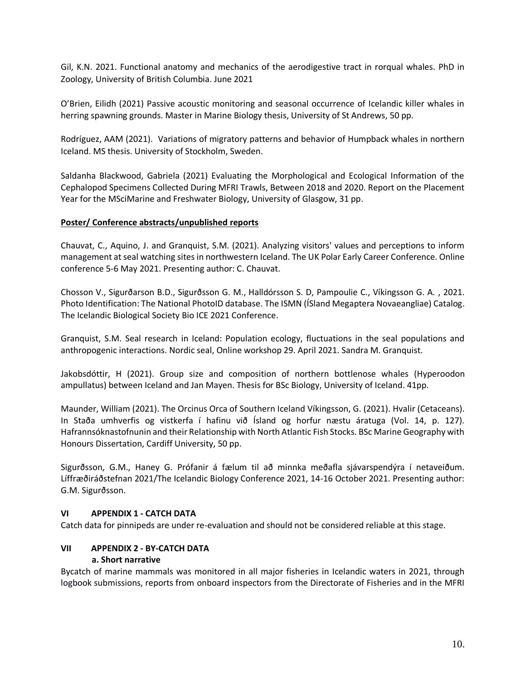Gil, K.N. 2021. Functional anatomy and mechanics of the aerodigestive tract in rorqual whales. PhD in Zoology, University of British Columbia. June 2021

O'Brien, Eilidh (2021) Passive acoustic monitoring and seasonal occurrence of Icelandic killer whales in herring spawning grounds. Master in Marine Biology thesis, University of St Andrews, 50 pp.

Rodríguez, AAM (2021). Variations of migratory patterns and behavior of Humpback whales in northern Iceland. MS thesis. University of Stockholm, Sweden.

Saldanha Blackwood, Gabriela (2021) Evaluating the Morphological and Ecological Information of the Cephalopod Specimens Collected During MFRI Trawls, Between 2018 and 2020. Report on the Placement Year for the MSciMarine and Freshwater Biology, University of Glasgow, 31 pp.

## **Poster/ Conference abstracts/unpublished reports**

Chauvat, C., Aquino, J. and Granquist, S.M. (2021). Analyzing visitors' values and perceptions to inform management at seal watching sites in northwestern Iceland. The UK Polar Early Career Conference. Online conference 5-6 May 2021. Presenting author: C. Chauvat.

Chosson V., Sigurðarson B.D., Sigurðsson G. M., Halldórsson S. D, Pampoulie C., Víkingsson G. A. , 2021. Photo Identification: The National PhotoID database. The ISMN (ÍSland Megaptera Novaeangliae) Catalog. The Icelandic Biological Society Bio ICE 2021 Conference.

Granquist, S.M. Seal research in Iceland: Population ecology, fluctuations in the seal populations and anthropogenic interactions. Nordic seal, Online workshop 29. April 2021. Sandra M. Granquist.

Jakobsdóttir, H (2021). Group size and composition of northern bottlenose whales (Hyperoodon ampullatus) between Iceland and Jan Mayen. Thesis for BSc Biology, University of Iceland. 41pp.

Maunder, William (2021). The Orcinus Orca of Southern Iceland Víkingsson, G. (2021). Hvalir (Cetaceans). In Staða umhverfis og vistkerfa í hafinu við Ísland og horfur næstu áratuga (Vol. 14, p. 127). Hafrannsóknastofnunin and their Relationship with North Atlantic Fish Stocks. BSc Marine Geography with Honours Dissertation, Cardiff University, 50 pp.

Sigurðsson, G.M., Haney G. Prófanir á fælum til að minnka meðafla sjávarspendýra í netaveiðum. Líffræðiráðstefnan 2021/The Icelandic Biology Conference 2021, 14-16 October 2021. Presenting author: G.M. Sigurðsson.

## **VI APPENDIX 1 - CATCH DATA**

Catch data for pinnipeds are under re-evaluation and should not be considered reliable at this stage.

## **VII APPENDIX 2 - BY-CATCH DATA a. Short narrative**

Bycatch of marine mammals was monitored in all major fisheries in Icelandic waters in 2021, through logbook submissions, reports from onboard inspectors from the Directorate of Fisheries and in the MFRI